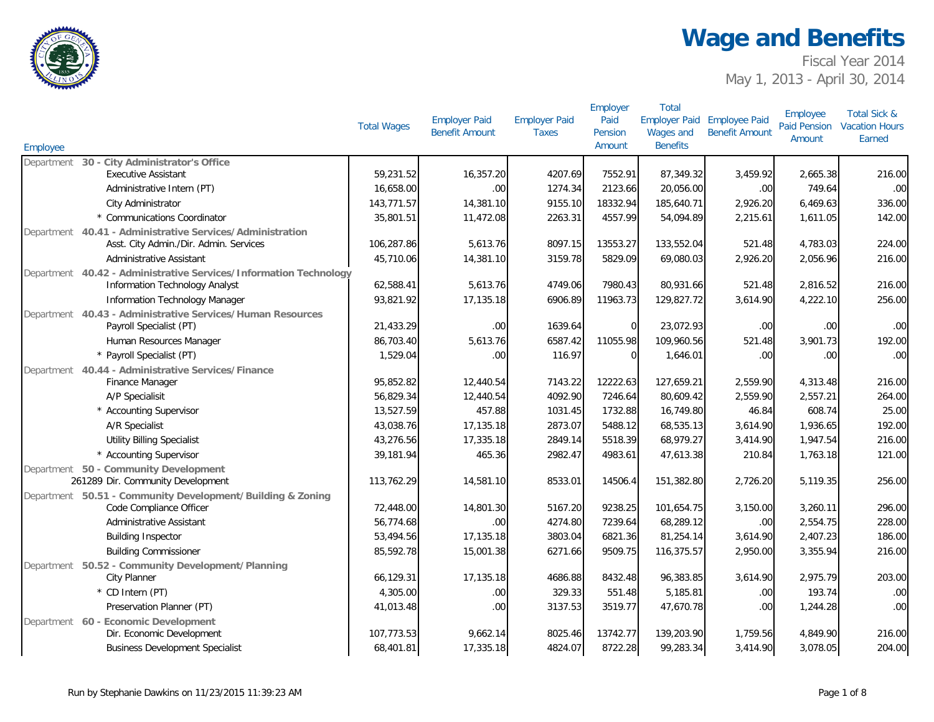

Fiscal Year 2014 May 1, 2013 - April 30, 2014

| Employee   |                                                                            | <b>Total Wages</b> | <b>Employer Paid</b><br><b>Benefit Amount</b> | <b>Employer Paid</b><br><b>Taxes</b> | Employer<br>Paid<br>Pension<br>Amount | <b>Total</b><br><b>Employer Paid</b><br>Wages and<br><b>Benefits</b> | <b>Employee Paid</b><br><b>Benefit Amount</b> | Employee<br><b>Paid Pension</b><br>Amount | <b>Total Sick &amp;</b><br><b>Vacation Hours</b><br>Earned |
|------------|----------------------------------------------------------------------------|--------------------|-----------------------------------------------|--------------------------------------|---------------------------------------|----------------------------------------------------------------------|-----------------------------------------------|-------------------------------------------|------------------------------------------------------------|
|            | Department 30 - City Administrator's Office                                |                    |                                               |                                      |                                       |                                                                      |                                               |                                           |                                                            |
|            | <b>Executive Assistant</b>                                                 | 59,231.52          | 16,357.20                                     | 4207.69                              | 7552.91                               | 87,349.32                                                            | 3,459.92                                      | 2,665.38                                  | 216.00                                                     |
|            | Administrative Intern (PT)                                                 | 16,658.00          | .00                                           | 1274.34                              | 2123.66                               | 20,056.00                                                            | .00                                           | 749.64                                    | .00                                                        |
|            | City Administrator                                                         | 143,771.57         | 14,381.10                                     | 9155.10                              | 18332.94                              | 185,640.71                                                           | 2,926.20                                      | 6,469.63                                  | 336.00                                                     |
|            | * Communications Coordinator                                               | 35,801.51          | 11,472.08                                     | 2263.31                              | 4557.99                               | 54,094.89                                                            | 2,215.61                                      | 1,611.05                                  | 142.00                                                     |
|            | Department 40.41 - Administrative Services/Administration                  |                    |                                               |                                      |                                       |                                                                      |                                               |                                           |                                                            |
|            | Asst. City Admin./Dir. Admin. Services                                     | 106,287.86         | 5,613.76                                      | 8097.15                              | 13553.27                              | 133,552.04                                                           | 521.48                                        | 4,783.03                                  | 224.00                                                     |
|            | Administrative Assistant                                                   | 45,710.06          | 14,381.10                                     | 3159.78                              | 5829.09                               | 69,080.03                                                            | 2,926.20                                      | 2,056.96                                  | 216.00                                                     |
|            | Department 40.42 - Administrative Services/Information Technology          |                    |                                               |                                      |                                       |                                                                      |                                               |                                           |                                                            |
|            | <b>Information Technology Analyst</b>                                      | 62,588.41          | 5,613.76                                      | 4749.06                              | 7980.43                               | 80,931.66                                                            | 521.48                                        | 2,816.52                                  | 216.00                                                     |
|            | Information Technology Manager                                             | 93,821.92          | 17,135.18                                     | 6906.89                              | 11963.73                              | 129,827.72                                                           | 3,614.90                                      | 4,222.10                                  | 256.00                                                     |
| Department | 40.43 - Administrative Services/Human Resources<br>Payroll Specialist (PT) | 21,433.29          | .00                                           | 1639.64                              | $\Omega$                              | 23,072.93                                                            | .00                                           | .00                                       | .00                                                        |
|            | Human Resources Manager                                                    | 86,703.40          | 5,613.76                                      | 6587.42                              | 11055.98                              | 109,960.56                                                           | 521.48                                        | 3,901.73                                  | 192.00                                                     |
|            | * Payroll Specialist (PT)                                                  | 1,529.04           | .00                                           | 116.97                               | $\Omega$                              | 1,646.01                                                             | .00                                           | .00.                                      | .00                                                        |
| Department | 40.44 - Administrative Services/Finance                                    |                    |                                               |                                      |                                       |                                                                      |                                               |                                           |                                                            |
|            | Finance Manager                                                            | 95,852.82          | 12,440.54                                     | 7143.22                              | 12222.63                              | 127,659.21                                                           | 2,559.90                                      | 4,313.48                                  | 216.00                                                     |
|            | A/P Specialisit                                                            | 56,829.34          | 12,440.54                                     | 4092.90                              | 7246.64                               | 80,609.42                                                            | 2,559.90                                      | 2,557.21                                  | 264.00                                                     |
|            | * Accounting Supervisor                                                    | 13,527.59          | 457.88                                        | 1031.45                              | 1732.88                               | 16,749.80                                                            | 46.84                                         | 608.74                                    | 25.00                                                      |
|            | A/R Specialist                                                             | 43,038.76          | 17,135.18                                     | 2873.07                              | 5488.12                               | 68,535.13                                                            | 3,614.90                                      | 1,936.65                                  | 192.00                                                     |
|            | <b>Utility Billing Specialist</b>                                          | 43,276.56          | 17,335.18                                     | 2849.14                              | 5518.39                               | 68,979.27                                                            | 3,414.90                                      | 1,947.54                                  | 216.00                                                     |
|            | * Accounting Supervisor                                                    | 39,181.94          | 465.36                                        | 2982.47                              | 4983.61                               | 47,613.38                                                            | 210.84                                        | 1,763.18                                  | 121.00                                                     |
|            | Department 50 - Community Development                                      |                    |                                               |                                      |                                       |                                                                      |                                               |                                           |                                                            |
|            | 261289 Dir. Community Development                                          | 113,762.29         | 14,581.10                                     | 8533.01                              | 14506.4                               | 151,382.80                                                           | 2,726.20                                      | 5,119.35                                  | 256.00                                                     |
|            | Department 50.51 - Community Development/Building & Zoning                 |                    |                                               |                                      |                                       |                                                                      |                                               |                                           |                                                            |
|            | Code Compliance Officer                                                    | 72,448.00          | 14,801.30                                     | 5167.20                              | 9238.25                               | 101,654.75                                                           | 3,150.00                                      | 3,260.11                                  | 296.00                                                     |
|            | Administrative Assistant                                                   | 56,774.68          | .00                                           | 4274.80                              | 7239.64                               | 68,289.12                                                            | .00                                           | 2,554.75                                  | 228.00                                                     |
|            | <b>Building Inspector</b>                                                  | 53,494.56          | 17,135.18                                     | 3803.04                              | 6821.36                               | 81,254.14                                                            | 3,614.90                                      | 2,407.23                                  | 186.00                                                     |
|            | <b>Building Commissioner</b>                                               | 85,592.78          | 15,001.38                                     | 6271.66                              | 9509.75                               | 116,375.57                                                           | 2,950.00                                      | 3,355.94                                  | 216.00                                                     |
|            | Department 50.52 - Community Development/Planning                          |                    |                                               |                                      |                                       |                                                                      |                                               |                                           |                                                            |
|            | City Planner                                                               | 66,129.31          | 17,135.18                                     | 4686.88                              | 8432.48                               | 96,383.85                                                            | 3,614.90                                      | 2,975.79                                  | 203.00                                                     |
|            | * CD Intern (PT)                                                           | 4,305.00           | .00                                           | 329.33                               | 551.48                                | 5,185.81                                                             | .00                                           | 193.74                                    | .00                                                        |
|            | Preservation Planner (PT)                                                  | 41,013.48          | .00                                           | 3137.53                              | 3519.77                               | 47,670.78                                                            | .00.                                          | 1,244.28                                  | .00                                                        |
|            | Department 60 - Economic Development                                       |                    |                                               |                                      |                                       |                                                                      |                                               |                                           |                                                            |
|            | Dir. Economic Development                                                  | 107,773.53         | 9,662.14                                      | 8025.46                              | 13742.77                              | 139,203.90                                                           | 1,759.56                                      | 4,849.90                                  | 216.00                                                     |
|            | <b>Business Development Specialist</b>                                     | 68,401.81          | 17,335.18                                     | 4824.07                              | 8722.28                               | 99,283.34                                                            | 3,414.90                                      | 3,078.05                                  | 204.00                                                     |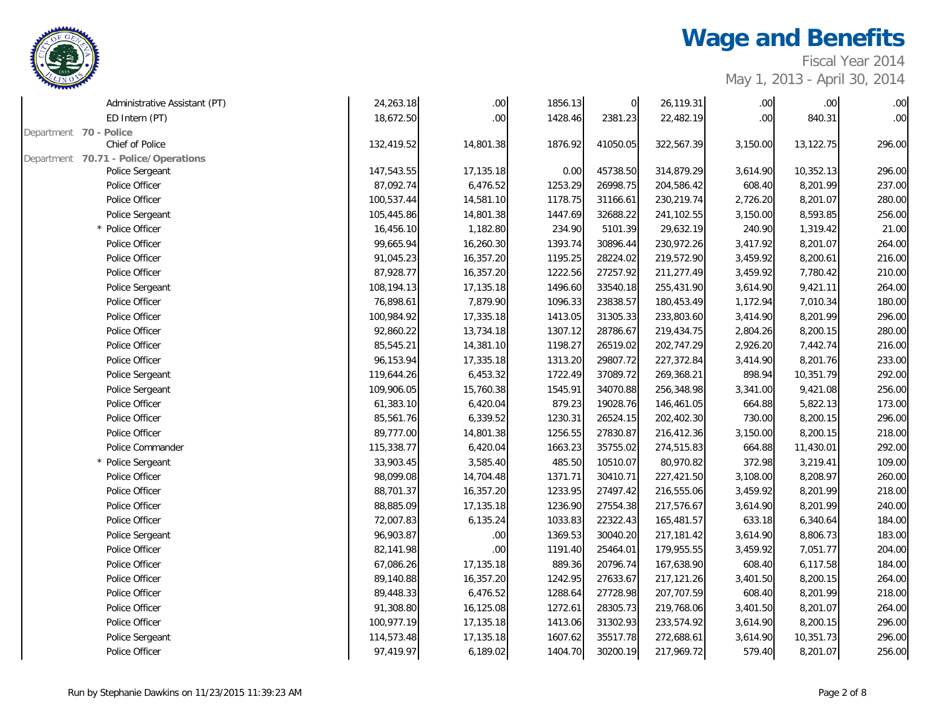

Fiscal Year 2014

| Administrative Assistant (PT)        | 24,263.18  | $.00\,$          | 1856.13 | $\overline{0}$ | 26,119.31  | .00 <sub>1</sub> | .00.      | $.00\,$          |
|--------------------------------------|------------|------------------|---------|----------------|------------|------------------|-----------|------------------|
| ED Intern (PT)                       | 18,672.50  | .00 <sub>1</sub> | 1428.46 | 2381.23        | 22,482.19  | .00 <sub>1</sub> | 840.31    | .00 <sub>1</sub> |
| Department 70 - Police               |            |                  |         |                |            |                  |           |                  |
| Chief of Police                      | 132,419.52 | 14,801.38        | 1876.92 | 41050.05       | 322,567.39 | 3,150.00         | 13,122.75 | 296.00           |
| Department 70.71 - Police/Operations |            |                  |         |                |            |                  |           |                  |
| Police Sergeant                      | 147,543.55 | 17,135.18        | 0.00    | 45738.50       | 314,879.29 | 3,614.90         | 10,352.13 | 296.00           |
| Police Officer                       | 87,092.74  | 6,476.52         | 1253.29 | 26998.75       | 204,586.42 | 608.40           | 8,201.99  | 237.00           |
| Police Officer                       | 100,537.44 | 14,581.10        | 1178.75 | 31166.61       | 230,219.74 | 2,726.20         | 8,201.07  | 280.00           |
| Police Sergeant                      | 105,445.86 | 14,801.38        | 1447.69 | 32688.22       | 241,102.55 | 3,150.00         | 8,593.85  | 256.00           |
| * Police Officer                     | 16,456.10  | 1,182.80         | 234.90  | 5101.39        | 29,632.19  | 240.90           | 1,319.42  | 21.00            |
| Police Officer                       | 99,665.94  | 16,260.30        | 1393.74 | 30896.44       | 230,972.26 | 3,417.92         | 8,201.07  | 264.00           |
| Police Officer                       | 91,045.23  | 16,357.20        | 1195.25 | 28224.02       | 219,572.90 | 3,459.92         | 8,200.61  | 216.00           |
| Police Officer                       | 87,928.77  | 16,357.20        | 1222.56 | 27257.92       | 211,277.49 | 3,459.92         | 7,780.42  | 210.00           |
| Police Sergeant                      | 108,194.13 | 17,135.18        | 1496.60 | 33540.18       | 255,431.90 | 3,614.90         | 9,421.11  | 264.00           |
| Police Officer                       | 76,898.61  | 7,879.90         | 1096.33 | 23838.57       | 180,453.49 | 1,172.94         | 7,010.34  | 180.00           |
| Police Officer                       | 100,984.92 | 17,335.18        | 1413.05 | 31305.33       | 233,803.60 | 3,414.90         | 8,201.99  | 296.00           |
| Police Officer                       | 92,860.22  | 13,734.18        | 1307.12 | 28786.67       | 219,434.75 | 2,804.26         | 8,200.15  | 280.00           |
| Police Officer                       | 85,545.21  | 14,381.10        | 1198.27 | 26519.02       | 202,747.29 | 2,926.20         | 7,442.74  | 216.00           |
| Police Officer                       | 96,153.94  | 17,335.18        | 1313.20 | 29807.72       | 227,372.84 | 3,414.90         | 8,201.76  | 233.00           |
| Police Sergeant                      | 119,644.26 | 6,453.32         | 1722.49 | 37089.72       | 269,368.21 | 898.94           | 10,351.79 | 292.00           |
| Police Sergeant                      | 109,906.05 | 15,760.38        | 1545.91 | 34070.88       | 256,348.98 | 3,341.00         | 9,421.08  | 256.00           |
| Police Officer                       | 61,383.10  | 6,420.04         | 879.23  | 19028.76       | 146,461.05 | 664.88           | 5,822.13  | 173.00           |
| Police Officer                       | 85,561.76  | 6,339.52         | 1230.31 | 26524.15       | 202,402.30 | 730.00           | 8,200.15  | 296.00           |
| Police Officer                       | 89,777.00  | 14,801.38        | 1256.55 | 27830.87       | 216,412.36 | 3,150.00         | 8,200.15  | 218.00           |
| Police Commander                     | 115,338.77 | 6,420.04         | 1663.23 | 35755.02       | 274,515.83 | 664.88           | 11,430.01 | 292.00           |
| * Police Sergeant                    | 33,903.45  | 3,585.40         | 485.50  | 10510.07       | 80,970.82  | 372.98           | 3,219.41  | 109.00           |
| Police Officer                       | 98,099.08  | 14,704.48        | 1371.71 | 30410.71       | 227,421.50 | 3,108.00         | 8,208.97  | 260.00           |
| Police Officer                       | 88,701.37  | 16,357.20        | 1233.95 | 27497.42       | 216,555.06 | 3,459.92         | 8,201.99  | 218.00           |
| Police Officer                       | 88,885.09  | 17,135.18        | 1236.90 | 27554.38       | 217,576.67 | 3,614.90         | 8,201.99  | 240.00           |
| Police Officer                       | 72,007.83  | 6,135.24         | 1033.83 | 22322.43       | 165,481.57 | 633.18           | 6,340.64  | 184.00           |
| Police Sergeant                      | 96,903.87  | .00.             | 1369.53 | 30040.20       | 217,181.42 | 3,614.90         | 8,806.73  | 183.00           |
| Police Officer                       | 82,141.98  | $.00\,$          | 1191.40 | 25464.01       | 179,955.55 | 3,459.92         | 7,051.77  | 204.00           |
| Police Officer                       | 67,086.26  | 17,135.18        | 889.36  | 20796.74       | 167,638.90 | 608.40           | 6,117.58  | 184.00           |
| Police Officer                       | 89,140.88  | 16,357.20        | 1242.95 | 27633.67       | 217,121.26 | 3,401.50         | 8,200.15  | 264.00           |
| Police Officer                       | 89,448.33  | 6,476.52         | 1288.64 | 27728.98       | 207,707.59 | 608.40           | 8,201.99  | 218.00           |
| Police Officer                       | 91,308.80  | 16,125.08        | 1272.61 | 28305.73       | 219,768.06 | 3,401.50         | 8,201.07  | 264.00           |
| Police Officer                       | 100,977.19 | 17,135.18        | 1413.06 | 31302.93       | 233,574.92 | 3,614.90         | 8,200.15  | 296.00           |
| Police Sergeant                      | 114,573.48 | 17,135.18        | 1607.62 | 35517.78       | 272,688.61 | 3,614.90         | 10,351.73 | 296.00           |
| Police Officer                       | 97,419.97  | 6,189.02         | 1404.70 | 30200.19       | 217,969.72 | 579.40           | 8,201.07  | 256.00           |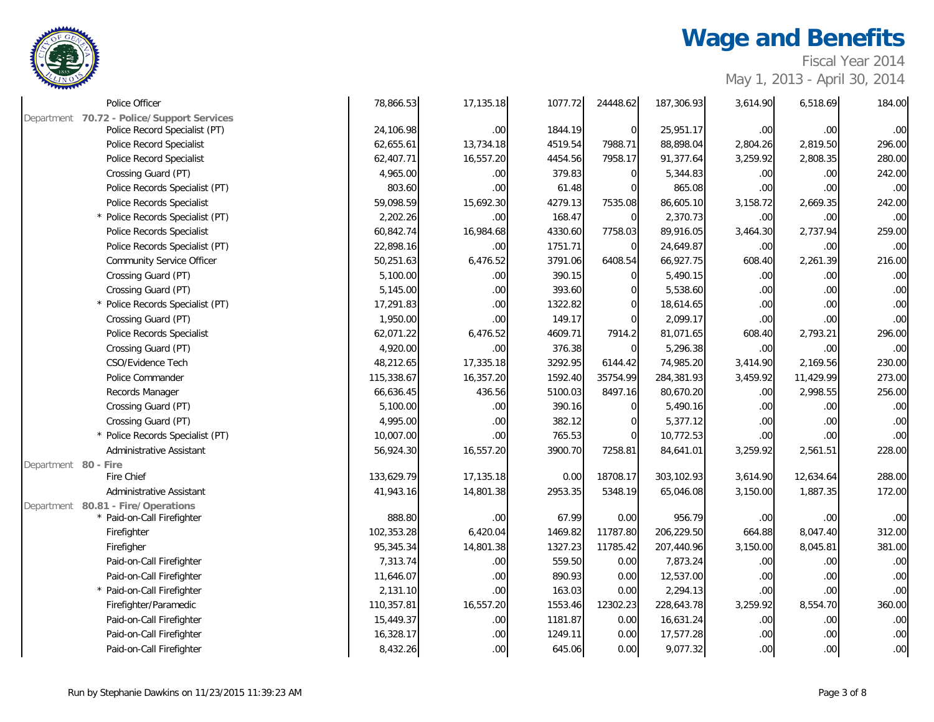

Fiscal Year 2014

| Police Officer                             | 78,866.53  | 17,135.18 | 1077.72 | 24448.62    | 187,306.93 | 3,614.90 | 6,518.69         | 184.00           |
|--------------------------------------------|------------|-----------|---------|-------------|------------|----------|------------------|------------------|
| Department 70.72 - Police/Support Services |            |           |         |             |            |          |                  |                  |
| Police Record Specialist (PT)              | 24,106.98  | .00.      | 1844.19 | $\mathbf 0$ | 25,951.17  | .00.     | .00 <sub>1</sub> | .00              |
| Police Record Specialist                   | 62,655.61  | 13,734.18 | 4519.54 | 7988.71     | 88,898.04  | 2,804.26 | 2,819.50         | 296.00           |
| Police Record Specialist                   | 62,407.71  | 16,557.20 | 4454.56 | 7958.17     | 91,377.64  | 3,259.92 | 2,808.35         | 280.00           |
| Crossing Guard (PT)                        | 4,965.00   | .00.      | 379.83  | $\Omega$    | 5,344.83   | .00      | .00.             | 242.00           |
| Police Records Specialist (PT)             | 803.60     | .00       | 61.48   | $\Omega$    | 865.08     | .00      | .00.             | .00              |
| Police Records Specialist                  | 59,098.59  | 15,692.30 | 4279.13 | 7535.08     | 86,605.10  | 3,158.72 | 2,669.35         | 242.00           |
| * Police Records Specialist (PT)           | 2,202.26   | .00.      | 168.47  | $\Omega$    | 2,370.73   | .00.     | .00 <sub>1</sub> | .00              |
| Police Records Specialist                  | 60,842.74  | 16,984.68 | 4330.60 | 7758.03     | 89,916.05  | 3,464.30 | 2,737.94         | 259.00           |
| Police Records Specialist (PT)             | 22,898.16  | .00.      | 1751.71 | $\Omega$    | 24,649.87  | .00      | .00 <sub>1</sub> | .00              |
| <b>Community Service Officer</b>           | 50,251.63  | 6,476.52  | 3791.06 | 6408.54     | 66,927.75  | 608.40   | 2,261.39         | 216.00           |
| Crossing Guard (PT)                        | 5,100.00   | .00.      | 390.15  | $\Omega$    | 5,490.15   | .00      | .00 <sub>1</sub> | .00              |
| Crossing Guard (PT)                        | 5,145.00   | .00.      | 393.60  |             | 5,538.60   | .00.     | .00 <sub>1</sub> | $.00\,$          |
| * Police Records Specialist (PT)           | 17,291.83  | .00       | 1322.82 |             | 18,614.65  | .00      | .00 <sub>1</sub> | $.00\,$          |
| Crossing Guard (PT)                        | 1,950.00   | .00.      | 149.17  | $\Omega$    | 2,099.17   | .00      | .00 <sub>1</sub> | .00              |
| Police Records Specialist                  | 62,071.22  | 6,476.52  | 4609.71 | 7914.2      | 81,071.65  | 608.40   | 2,793.21         | 296.00           |
| Crossing Guard (PT)                        | 4,920.00   | .00       | 376.38  | $\Omega$    | 5,296.38   | .00.     | 00.              | .00              |
| CSO/Evidence Tech                          | 48,212.65  | 17,335.18 | 3292.95 | 6144.42     | 74,985.20  | 3,414.90 | 2,169.56         | 230.00           |
| Police Commander                           | 115,338.67 | 16,357.20 | 1592.40 | 35754.99    | 284,381.93 | 3,459.92 | 11,429.99        | 273.00           |
| Records Manager                            | 66,636.45  | 436.56    | 5100.03 | 8497.16     | 80,670.20  | .00.     | 2,998.55         | 256.00           |
| Crossing Guard (PT)                        | 5,100.00   | .00.      | 390.16  | $\Omega$    | 5,490.16   | .00.     | .00 <sub>1</sub> | .00              |
| Crossing Guard (PT)                        | 4,995.00   | .00.      | 382.12  | U           | 5,377.12   | .00      | .00 <sub>1</sub> | .00              |
| * Police Records Specialist (PT)           | 10,007.00  | .00.      | 765.53  | $\Omega$    | 10,772.53  | .00.     | .00 <sub>1</sub> | .00              |
| Administrative Assistant                   | 56,924.30  | 16,557.20 | 3900.70 | 7258.81     | 84,641.01  | 3,259.92 | 2,561.51         | 228.00           |
| Department 80 - Fire                       |            |           |         |             |            |          |                  |                  |
| Fire Chief                                 | 133,629.79 | 17,135.18 | 0.00    | 18708.17    | 303,102.93 | 3,614.90 | 12,634.64        | 288.00           |
| Administrative Assistant                   | 41,943.16  | 14,801.38 | 2953.35 | 5348.19     | 65,046.08  | 3,150.00 | 1,887.35         | 172.00           |
| Department 80.81 - Fire/Operations         |            |           |         |             |            |          |                  |                  |
| * Paid-on-Call Firefighter                 | 888.80     | .00       | 67.99   | 0.00        | 956.79     | .00      | .00 <sub>1</sub> | .00              |
| Firefighter                                | 102,353.28 | 6,420.04  | 1469.82 | 11787.80    | 206,229.50 | 664.88   | 8,047.40         | 312.00           |
| Firefigher                                 | 95,345.34  | 14,801.38 | 1327.23 | 11785.42    | 207,440.96 | 3,150.00 | 8,045.81         | 381.00           |
| Paid-on-Call Firefighter                   | 7,313.74   | $.00\,$   | 559.50  | 0.00        | 7,873.24   | .00      | .00 <sub>1</sub> | .00              |
| Paid-on-Call Firefighter                   | 11,646.07  | .00.      | 890.93  | 0.00        | 12,537.00  | .00.     | .00 <sub>1</sub> | .00              |
| * Paid-on-Call Firefighter                 | 2,131.10   | .00.      | 163.03  | 0.00        | 2,294.13   | .00      | .00 <sub>1</sub> | .00              |
| Firefighter/Paramedic                      | 110,357.81 | 16,557.20 | 1553.46 | 12302.23    | 228,643.78 | 3,259.92 | 8,554.70         | 360.00           |
| Paid-on-Call Firefighter                   | 15,449.37  | .00.      | 1181.87 | 0.00        | 16,631.24  | .00      | .00 <sub>1</sub> | .00              |
| Paid-on-Call Firefighter                   | 16,328.17  | $.00\,$   | 1249.11 | 0.00        | 17,577.28  | .00      | .00.             | $.00\,$          |
| Paid-on-Call Firefighter                   | 8,432.26   | .00.      | 645.06  | 0.00        | 9,077.32   | .00      | .00              | .00 <sub>1</sub> |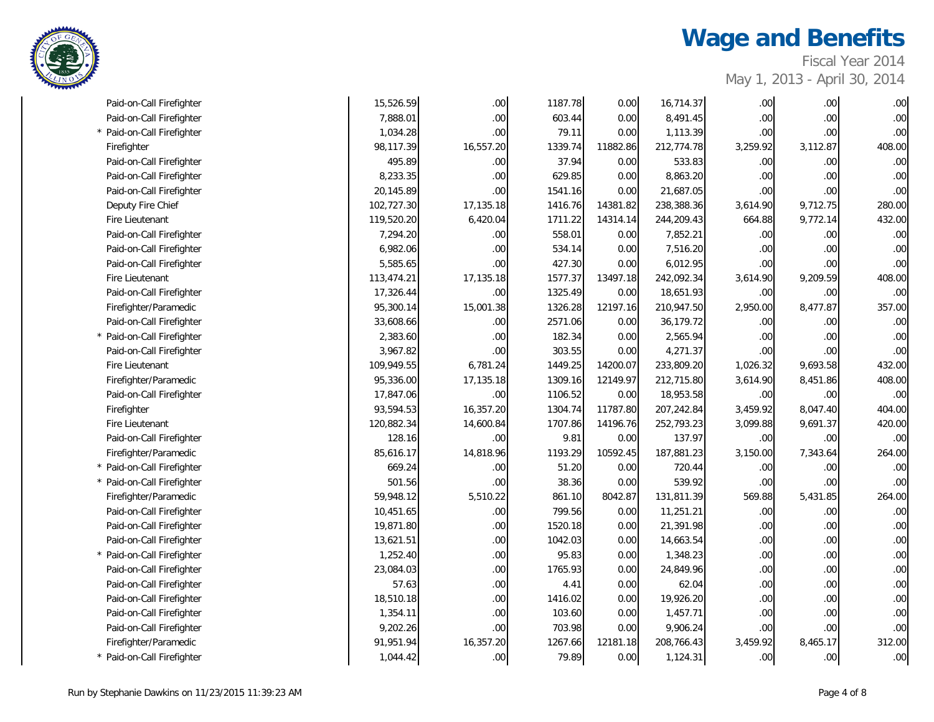

| Fiscal Year 2014             |  |
|------------------------------|--|
| May 1, 2013 - April 30, 2014 |  |

| Paid-on-Call Firefighter<br>* Paid-on-Call Firefighter | 7,888.01<br>1,034.28 | $.00 \,$<br>.00 <sub>1</sub> | 603.44  | 0.00     | 8,491.45   | .00              | $.00\,$          | .00    |
|--------------------------------------------------------|----------------------|------------------------------|---------|----------|------------|------------------|------------------|--------|
|                                                        |                      |                              |         |          |            |                  |                  |        |
|                                                        |                      |                              | 79.11   | 0.00     | 1,113.39   | .00              | .00.             | .00    |
| Firefighter                                            | 98,117.39            | 16,557.20                    | 1339.74 | 11882.86 | 212,774.78 | 3,259.92         | 3,112.87         | 408.00 |
| Paid-on-Call Firefighter                               | 495.89               | .00 <sub>1</sub>             | 37.94   | 0.00     | 533.83     | .00              | .00              | .00    |
| Paid-on-Call Firefighter                               | 8,233.35             | .00.                         | 629.85  | 0.00     | 8,863.20   | .00              | .00              | .00    |
| Paid-on-Call Firefighter                               | 20,145.89            | .00                          | 1541.16 | 0.00     | 21,687.05  | .00              | .00              | .00    |
| Deputy Fire Chief                                      | 102,727.30           | 17,135.18                    | 1416.76 | 14381.82 | 238,388.36 | 3,614.90         | 9,712.75         | 280.00 |
| Fire Lieutenant                                        | 119,520.20           | 6,420.04                     | 1711.22 | 14314.14 | 244,209.43 | 664.88           | 9,772.14         | 432.00 |
| Paid-on-Call Firefighter                               | 7,294.20             | $.00 \,$                     | 558.01  | 0.00     | 7,852.21   | .00              | .00 <sub>1</sub> | .00    |
| Paid-on-Call Firefighter                               | 6,982.06             | .00 <sub>1</sub>             | 534.14  | 0.00     | 7,516.20   | .00              | .00 <sub>1</sub> | .00    |
| Paid-on-Call Firefighter                               | 5,585.65             | .00                          | 427.30  | 0.00     | 6,012.95   | .00              | .00              | .00    |
| Fire Lieutenant                                        | 113,474.21           | 17,135.18                    | 1577.37 | 13497.18 | 242,092.34 | 3,614.90         | 9,209.59         | 408.00 |
| Paid-on-Call Firefighter                               | 17,326.44            | .00 <sub>1</sub>             | 1325.49 | 0.00     | 18,651.93  | .00              | .00 <sub>1</sub> | .00    |
| Firefighter/Paramedic                                  | 95,300.14            | 15,001.38                    | 1326.28 | 12197.16 | 210,947.50 | 2,950.00         | 8,477.87         | 357.00 |
| Paid-on-Call Firefighter                               | 33,608.66            | .00 <sub>1</sub>             | 2571.06 | 0.00     | 36,179.72  | .00              | .00              | .00    |
| * Paid-on-Call Firefighter                             | 2,383.60             | .00.                         | 182.34  | 0.00     | 2,565.94   | .00              | .00              | .00    |
| Paid-on-Call Firefighter                               | 3,967.82             | .00 <sub>1</sub>             | 303.55  | 0.00     | 4,271.37   | .00              | .00 <sub>1</sub> | .00    |
| Fire Lieutenant                                        | 109,949.55           | 6,781.24                     | 1449.25 | 14200.07 | 233,809.20 | 1,026.32         | 9,693.58         | 432.00 |
| Firefighter/Paramedic                                  | 95,336.00            | 17,135.18                    | 1309.16 | 12149.97 | 212,715.80 | 3,614.90         | 8,451.86         | 408.00 |
| Paid-on-Call Firefighter                               | 17,847.06            | .00 <sub>1</sub>             | 1106.52 | 0.00     | 18,953.58  | .00              | .00              | .00    |
| Firefighter                                            | 93,594.53            | 16,357.20                    | 1304.74 | 11787.80 | 207,242.84 | 3,459.92         | 8,047.40         | 404.00 |
| Fire Lieutenant                                        | 120,882.34           | 14,600.84                    | 1707.86 | 14196.76 | 252,793.23 | 3,099.88         | 9,691.37         | 420.00 |
| Paid-on-Call Firefighter                               | 128.16               | .00.                         | 9.81    | 0.00     | 137.97     | .00              | .00              | .00    |
| Firefighter/Paramedic                                  | 85,616.17            | 14,818.96                    | 1193.29 | 10592.45 | 187,881.23 | 3,150.00         | 7,343.64         | 264.00 |
| * Paid-on-Call Firefighter                             | 669.24               | .00 <sub>1</sub>             | 51.20   | 0.00     | 720.44     | .00              | .00 <sub>1</sub> | .00    |
| * Paid-on-Call Firefighter                             | 501.56               | .00.                         | 38.36   | 0.00     | 539.92     | .00              | .00              | .00    |
| Firefighter/Paramedic                                  | 59,948.12            | 5,510.22                     | 861.10  | 8042.87  | 131,811.39 | 569.88           | 5,431.85         | 264.00 |
| Paid-on-Call Firefighter                               | 10,451.65            | .00                          | 799.56  | 0.00     | 11,251.21  | .00              | .00.             | .00    |
| Paid-on-Call Firefighter                               | 19,871.80            | .00                          | 1520.18 | 0.00     | 21,391.98  | .00              | .00              | .00    |
| Paid-on-Call Firefighter                               | 13,621.51            | .00.                         | 1042.03 | 0.00     | 14,663.54  | .00              | .00              | .00    |
| * Paid-on-Call Firefighter                             | 1,252.40             | .00 <sub>1</sub>             | 95.83   | 0.00     | 1,348.23   | .00              | .00              | .00    |
| Paid-on-Call Firefighter                               | 23,084.03            | .00 <sub>1</sub>             | 1765.93 | 0.00     | 24,849.96  | .00              | .00              | .00    |
| Paid-on-Call Firefighter                               | 57.63                | .00                          | 4.41    | 0.00     | 62.04      | .00              | .00              | .00    |
| Paid-on-Call Firefighter                               | 18,510.18            | $.00 \,$                     | 1416.02 | 0.00     | 19,926.20  | .00              | $.00\,$          | .00    |
| Paid-on-Call Firefighter                               | 1,354.11             | .00                          | 103.60  | 0.00     | 1,457.71   | .00              | .00 <sub>1</sub> | .00    |
| Paid-on-Call Firefighter                               | 9,202.26             | .00                          | 703.98  | 0.00     | 9,906.24   | .00              | .00              | .00    |
| Firefighter/Paramedic                                  | 91,951.94            | 16,357.20                    | 1267.66 | 12181.18 | 208,766.43 | 3,459.92         | 8,465.17         | 312.00 |
| * Paid-on-Call Firefighter                             | 1,044.42             | .00 <sub>1</sub>             | 79.89   | 0.00     | 1,124.31   | .00 <sub>1</sub> | .00 <sub>1</sub> | .00    |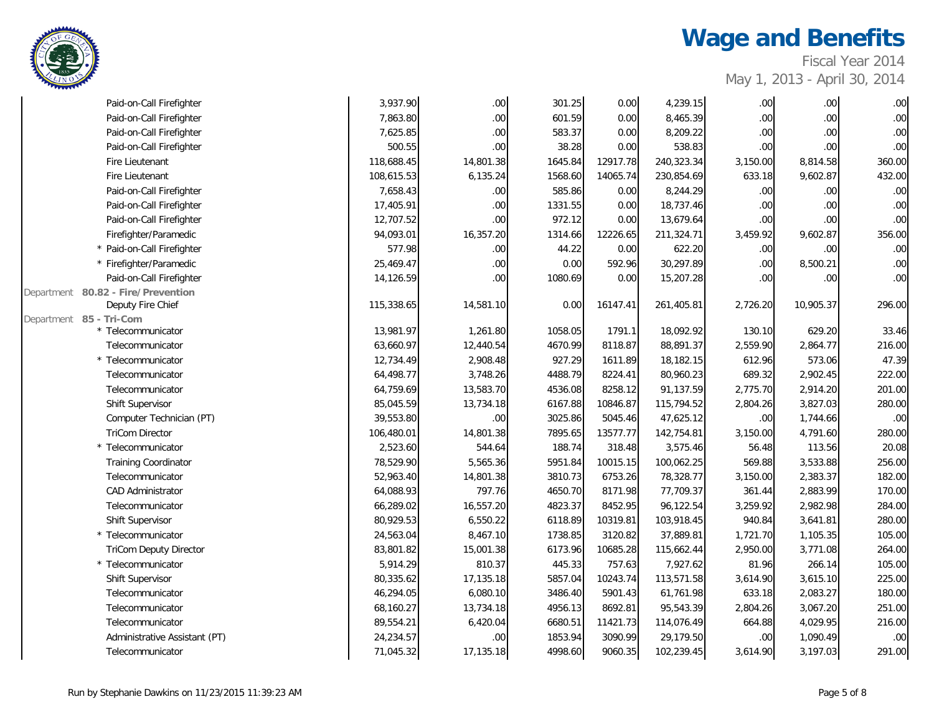

Fiscal Year 2014 May 1, 2013 - April 30, 2014

| Paid-on-Call Firefighter                                   | 3,937.90   | .00 <sub>1</sub> | 301.25  | 0.00     | 4,239.15   | .00      | .00.      | .00    |
|------------------------------------------------------------|------------|------------------|---------|----------|------------|----------|-----------|--------|
| Paid-on-Call Firefighter                                   | 7,863.80   | $.00\,$          | 601.59  | 0.00     | 8,465.39   | .00      | .00       | .00    |
| Paid-on-Call Firefighter                                   | 7,625.85   | .00.             | 583.37  | 0.00     | 8,209.22   | .00      | .00.      | .00    |
| Paid-on-Call Firefighter                                   | 500.55     | .00.             | 38.28   | 0.00     | 538.83     | .00      | .00       | .00    |
| Fire Lieutenant                                            | 118,688.45 | 14,801.38        | 1645.84 | 12917.78 | 240,323.34 | 3,150.00 | 8,814.58  | 360.00 |
| Fire Lieutenant                                            | 108,615.53 | 6,135.24         | 1568.60 | 14065.74 | 230,854.69 | 633.18   | 9,602.87  | 432.00 |
| Paid-on-Call Firefighter                                   | 7,658.43   | .00.             | 585.86  | 0.00     | 8,244.29   | .00      | .00       | .00    |
| Paid-on-Call Firefighter                                   | 17,405.91  | .00.             | 1331.55 | 0.00     | 18,737.46  | .00      | .00       | .00    |
| Paid-on-Call Firefighter                                   | 12,707.52  | .00.             | 972.12  | 0.00     | 13,679.64  | .00      | .00       | .00    |
| Firefighter/Paramedic                                      | 94,093.01  | 16,357.20        | 1314.66 | 12226.65 | 211,324.71 | 3,459.92 | 9,602.87  | 356.00 |
| * Paid-on-Call Firefighter                                 | 577.98     | .00.             | 44.22   | 0.00     | 622.20     | .00      | .00       | .00    |
| * Firefighter/Paramedic                                    | 25,469.47  | $.00\,$          | 0.00    | 592.96   | 30,297.89  | .00      | 8,500.21  | .00    |
| Paid-on-Call Firefighter                                   | 14,126.59  | .00.             | 1080.69 | 0.00     | 15,207.28  | .00      | .00       | .00    |
| 80.82 - Fire/Prevention<br>Department<br>Deputy Fire Chief | 115,338.65 | 14,581.10        | 0.00    | 16147.41 | 261,405.81 | 2,726.20 | 10,905.37 | 296.00 |
| Department 85 - Tri-Com                                    |            |                  |         |          |            |          |           |        |
| * Telecommunicator                                         | 13,981.97  | 1,261.80         | 1058.05 | 1791.1   | 18,092.92  | 130.10   | 629.20    | 33.46  |
| Telecommunicator                                           | 63,660.97  | 12,440.54        | 4670.99 | 8118.87  | 88,891.37  | 2,559.90 | 2,864.77  | 216.00 |
| * Telecommunicator                                         | 12,734.49  | 2,908.48         | 927.29  | 1611.89  | 18,182.15  | 612.96   | 573.06    | 47.39  |
| Telecommunicator                                           | 64,498.77  | 3,748.26         | 4488.79 | 8224.41  | 80,960.23  | 689.32   | 2,902.45  | 222.00 |
| Telecommunicator                                           | 64,759.69  | 13,583.70        | 4536.08 | 8258.12  | 91,137.59  | 2,775.70 | 2,914.20  | 201.00 |
| Shift Supervisor                                           | 85,045.59  | 13,734.18        | 6167.88 | 10846.87 | 115,794.52 | 2,804.26 | 3,827.03  | 280.00 |
| Computer Technician (PT)                                   | 39,553.80  | .00.             | 3025.86 | 5045.46  | 47,625.12  | .00      | 1,744.66  | .00    |
| <b>TriCom Director</b>                                     | 106,480.01 | 14,801.38        | 7895.65 | 13577.77 | 142,754.81 | 3,150.00 | 4,791.60  | 280.00 |
| * Telecommunicator                                         | 2,523.60   | 544.64           | 188.74  | 318.48   | 3,575.46   | 56.48    | 113.56    | 20.08  |
| <b>Training Coordinator</b>                                | 78,529.90  | 5,565.36         | 5951.84 | 10015.15 | 100,062.25 | 569.88   | 3,533.88  | 256.00 |
| Telecommunicator                                           | 52,963.40  | 14,801.38        | 3810.73 | 6753.26  | 78,328.77  | 3,150.00 | 2,383.37  | 182.00 |
| <b>CAD Administrator</b>                                   | 64,088.93  | 797.76           | 4650.70 | 8171.98  | 77,709.37  | 361.44   | 2,883.99  | 170.00 |
| Telecommunicator                                           | 66,289.02  | 16,557.20        | 4823.37 | 8452.95  | 96,122.54  | 3,259.92 | 2,982.98  | 284.00 |
| Shift Supervisor                                           | 80,929.53  | 6,550.22         | 6118.89 | 10319.81 | 103,918.45 | 940.84   | 3,641.81  | 280.00 |
| * Telecommunicator                                         | 24,563.04  | 8,467.10         | 1738.85 | 3120.82  | 37,889.81  | 1,721.70 | 1,105.35  | 105.00 |
| <b>TriCom Deputy Director</b>                              | 83,801.82  | 15,001.38        | 6173.96 | 10685.28 | 115,662.44 | 2,950.00 | 3,771.08  | 264.00 |
| * Telecommunicator                                         | 5,914.29   | 810.37           | 445.33  | 757.63   | 7,927.62   | 81.96    | 266.14    | 105.00 |
| Shift Supervisor                                           | 80,335.62  | 17,135.18        | 5857.04 | 10243.74 | 113,571.58 | 3,614.90 | 3,615.10  | 225.00 |
| Telecommunicator                                           | 46,294.05  | 6,080.10         | 3486.40 | 5901.43  | 61,761.98  | 633.18   | 2,083.27  | 180.00 |
| Telecommunicator                                           | 68,160.27  | 13,734.18        | 4956.13 | 8692.81  | 95,543.39  | 2,804.26 | 3,067.20  | 251.00 |
| Telecommunicator                                           | 89,554.21  | 6,420.04         | 6680.51 | 11421.73 | 114,076.49 | 664.88   | 4,029.95  | 216.00 |
| Administrative Assistant (PT)                              | 24,234.57  | .00.             | 1853.94 | 3090.99  | 29,179.50  | .00      | 1,090.49  | .00    |
| Telecommunicator                                           | 71,045.32  | 17,135.18        | 4998.60 | 9060.35  | 102,239.45 | 3,614.90 | 3,197.03  | 291.00 |
|                                                            |            |                  |         |          |            |          |           |        |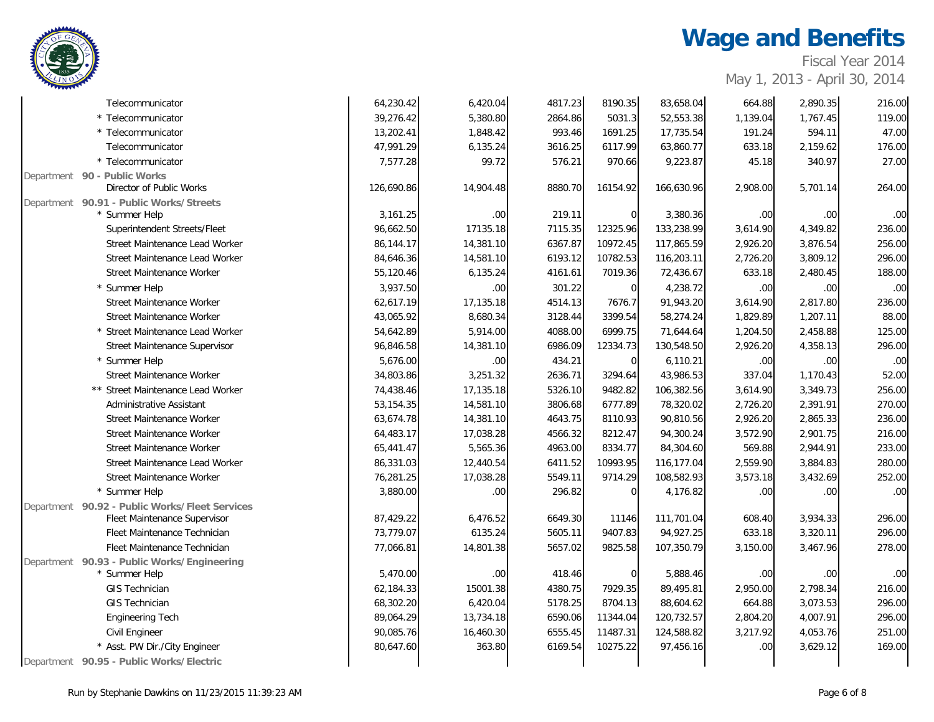Fiscal Year 2014

| Telecommunicator                               | 64,230.42  | 6,420.04         | 4817.23 | 8190.35     | 83,658.04  | 664.88           | 2,890.35 | 216.00           |
|------------------------------------------------|------------|------------------|---------|-------------|------------|------------------|----------|------------------|
| * Telecommunicator                             | 39,276.42  | 5,380.80         | 2864.86 | 5031.3      | 52,553.38  | 1,139.04         | 1,767.45 | 119.00           |
| * Telecommunicator                             | 13,202.41  | 1,848.42         | 993.46  | 1691.25     | 17,735.54  | 191.24           | 594.11   | 47.00            |
| Telecommunicator                               | 47,991.29  | 6,135.24         | 3616.25 | 6117.99     | 63,860.77  | 633.18           | 2,159.62 | 176.00           |
| * Telecommunicator                             | 7,577.28   | 99.72            | 576.21  | 970.66      | 9,223.87   | 45.18            | 340.97   | 27.00            |
| Department 90 - Public Works                   |            |                  |         |             |            |                  |          |                  |
| Director of Public Works                       | 126,690.86 | 14,904.48        | 8880.70 | 16154.92    | 166,630.96 | 2,908.00         | 5,701.14 | 264.00           |
| Department 90.91 - Public Works/Streets        |            |                  |         |             |            |                  |          |                  |
| * Summer Help                                  | 3,161.25   | .00 <sub>1</sub> | 219.11  | $\Omega$    | 3,380.36   | .00              | .00      | .00              |
| Superintendent Streets/Fleet                   | 96,662.50  | 17135.18         | 7115.35 | 12325.96    | 133,238.99 | 3,614.90         | 4,349.82 | 236.00           |
| Street Maintenance Lead Worker                 | 86,144.17  | 14,381.10        | 6367.87 | 10972.45    | 117,865.59 | 2,926.20         | 3,876.54 | 256.00           |
| Street Maintenance Lead Worker                 | 84,646.36  | 14,581.10        | 6193.12 | 10782.53    | 116,203.11 | 2,726.20         | 3,809.12 | 296.00           |
| Street Maintenance Worker                      | 55,120.46  | 6,135.24         | 4161.61 | 7019.36     | 72,436.67  | 633.18           | 2,480.45 | 188.00           |
| * Summer Help                                  | 3,937.50   | .00              | 301.22  | $\mathbf 0$ | 4,238.72   | .00              | .00.     | .00              |
| Street Maintenance Worker                      | 62,617.19  | 17,135.18        | 4514.13 | 7676.7      | 91,943.20  | 3,614.90         | 2,817.80 | 236.00           |
| Street Maintenance Worker                      | 43,065.92  | 8,680.34         | 3128.44 | 3399.54     | 58,274.24  | 1,829.89         | 1,207.11 | 88.00            |
| * Street Maintenance Lead Worker               | 54,642.89  | 5,914.00         | 4088.00 | 6999.75     | 71,644.64  | 1,204.50         | 2,458.88 | 125.00           |
| Street Maintenance Supervisor                  | 96,846.58  | 14,381.10        | 6986.09 | 12334.73    | 130,548.50 | 2,926.20         | 4,358.13 | 296.00           |
| * Summer Help                                  | 5,676.00   | .00 <sub>1</sub> | 434.21  | $\mathbf 0$ | 6,110.21   | .00              | .00      | .00              |
| Street Maintenance Worker                      | 34,803.86  | 3,251.32         | 2636.71 | 3294.64     | 43,986.53  | 337.04           | 1,170.43 | 52.00            |
| ** Street Maintenance Lead Worker              | 74,438.46  | 17,135.18        | 5326.10 | 9482.82     | 106,382.56 | 3,614.90         | 3,349.73 | 256.00           |
| Administrative Assistant                       | 53,154.35  | 14,581.10        | 3806.68 | 6777.89     | 78,320.02  | 2,726.20         | 2,391.91 | 270.00           |
| Street Maintenance Worker                      | 63,674.78  | 14,381.10        | 4643.75 | 8110.93     | 90,810.56  | 2,926.20         | 2,865.33 | 236.00           |
| Street Maintenance Worker                      | 64,483.17  | 17,038.28        | 4566.32 | 8212.47     | 94,300.24  | 3,572.90         | 2,901.75 | 216.00           |
| Street Maintenance Worker                      | 65,441.47  | 5,565.36         | 4963.00 | 8334.77     | 84,304.60  | 569.88           | 2,944.91 | 233.00           |
| Street Maintenance Lead Worker                 | 86,331.03  | 12,440.54        | 6411.52 | 10993.95    | 116,177.04 | 2,559.90         | 3,884.83 | 280.00           |
| Street Maintenance Worker                      | 76,281.25  | 17,038.28        | 5549.11 | 9714.29     | 108,582.93 | 3,573.18         | 3,432.69 | 252.00           |
| * Summer Help                                  | 3,880.00   | .00 <sub>1</sub> | 296.82  | $\Omega$    | 4,176.82   | .00              | .00.     | .00 <sub>l</sub> |
| Department 90.92 - Public Works/Fleet Services |            |                  |         |             |            |                  |          |                  |
| Fleet Maintenance Supervisor                   | 87,429.22  | 6,476.52         | 6649.30 | 11146       | 111,701.04 | 608.40           | 3,934.33 | 296.00           |
| Fleet Maintenance Technician                   | 73,779.07  | 6135.24          | 5605.11 | 9407.83     | 94,927.25  | 633.18           | 3,320.11 | 296.00           |
| Fleet Maintenance Technician                   | 77,066.81  | 14,801.38        | 5657.02 | 9825.58     | 107,350.79 | 3,150.00         | 3,467.96 | 278.00           |
| Department 90.93 - Public Works/Engineering    |            |                  |         |             |            |                  |          |                  |
| * Summer Help                                  | 5,470.00   | .00              | 418.46  | $\Omega$    | 5,888.46   | .00              | .00      | .00              |
| <b>GIS Technician</b>                          | 62,184.33  | 15001.38         | 4380.75 | 7929.35     | 89,495.81  | 2,950.00         | 2,798.34 | 216.00           |
| <b>GIS Technician</b>                          | 68,302.20  | 6,420.04         | 5178.25 | 8704.13     | 88,604.62  | 664.88           | 3,073.53 | 296.00           |
| <b>Engineering Tech</b>                        | 89,064.29  | 13,734.18        | 6590.06 | 11344.04    | 120,732.57 | 2,804.20         | 4,007.91 | 296.00           |
| Civil Engineer                                 | 90,085.76  | 16,460.30        | 6555.45 | 11487.31    | 124,588.82 | 3,217.92         | 4,053.76 | 251.00           |
| * Asst. PW Dir./City Engineer                  | 80,647.60  | 363.80           | 6169.54 | 10275.22    | 97,456.16  | .00 <sub>1</sub> | 3,629.12 | 169.00           |
| Department 90.95 - Public Works/Electric       |            |                  |         |             |            |                  |          |                  |

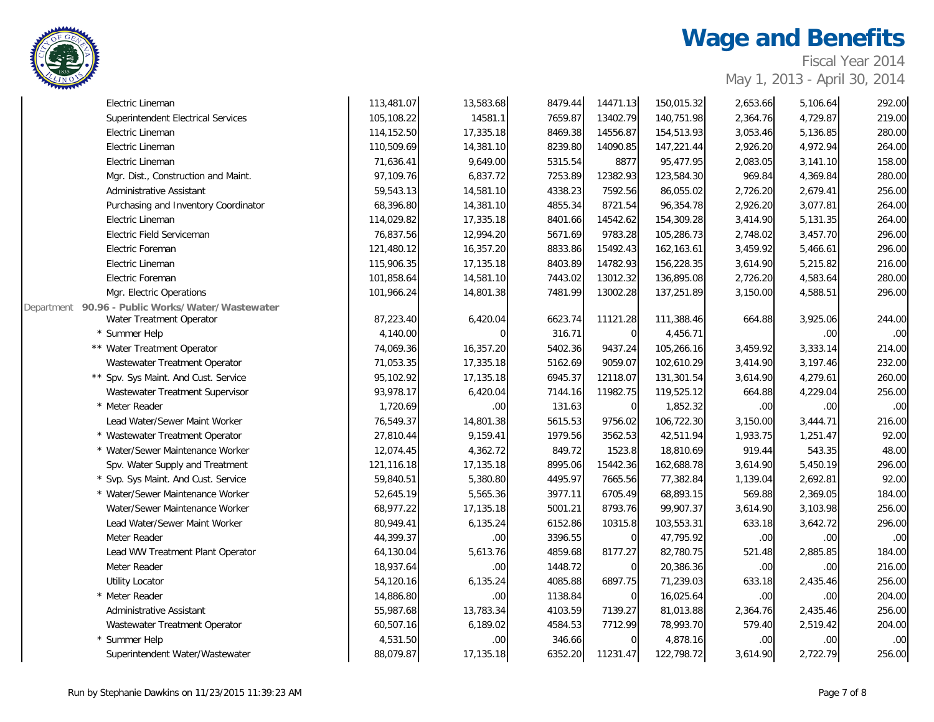

Fiscal Year 2014

| Electric Lineman                                    | 113,481.07 | 13,583.68 | 8479.44 | 14471.13       | 150,015.32 | 2,653.66         | 5,106.64 | 292.00           |
|-----------------------------------------------------|------------|-----------|---------|----------------|------------|------------------|----------|------------------|
| <b>Superintendent Electrical Services</b>           | 105,108.22 | 14581.1   | 7659.87 | 13402.79       | 140,751.98 | 2,364.76         | 4,729.87 | 219.00           |
| Electric Lineman                                    | 114,152.50 | 17,335.18 | 8469.38 | 14556.87       | 154,513.93 | 3,053.46         | 5,136.85 | 280.00           |
| Electric Lineman                                    | 110,509.69 | 14,381.10 | 8239.80 | 14090.85       | 147,221.44 | 2,926.20         | 4,972.94 | 264.00           |
| Electric Lineman                                    | 71,636.41  | 9,649.00  | 5315.54 | 8877           | 95,477.95  | 2,083.05         | 3,141.10 | 158.00           |
| Mgr. Dist., Construction and Maint.                 | 97,109.76  | 6,837.72  | 7253.89 | 12382.93       | 123,584.30 | 969.84           | 4,369.84 | 280.00           |
| Administrative Assistant                            | 59,543.13  | 14,581.10 | 4338.23 | 7592.56        | 86,055.02  | 2,726.20         | 2,679.41 | 256.00           |
| Purchasing and Inventory Coordinator                | 68,396.80  | 14,381.10 | 4855.34 | 8721.54        | 96,354.78  | 2,926.20         | 3,077.81 | 264.00           |
| Electric Lineman                                    | 114,029.82 | 17,335.18 | 8401.66 | 14542.62       | 154,309.28 | 3,414.90         | 5,131.35 | 264.00           |
| Electric Field Serviceman                           | 76,837.56  | 12,994.20 | 5671.69 | 9783.28        | 105,286.73 | 2,748.02         | 3,457.70 | 296.00           |
| Electric Foreman                                    | 121,480.12 | 16,357.20 | 8833.86 | 15492.43       | 162,163.61 | 3,459.92         | 5,466.61 | 296.00           |
| Electric Lineman                                    | 115,906.35 | 17,135.18 | 8403.89 | 14782.93       | 156,228.35 | 3,614.90         | 5,215.82 | 216.00           |
| Electric Foreman                                    | 101,858.64 | 14,581.10 | 7443.02 | 13012.32       | 136,895.08 | 2,726.20         | 4,583.64 | 280.00           |
| Mgr. Electric Operations                            | 101,966.24 | 14,801.38 | 7481.99 | 13002.28       | 137,251.89 | 3,150.00         | 4,588.51 | 296.00           |
| 90.96 - Public Works/Water/Wastewater<br>Department |            |           |         |                |            |                  |          |                  |
| Water Treatment Operator                            | 87,223.40  | 6,420.04  | 6623.74 | 11121.28       | 111,388.46 | 664.88           | 3,925.06 | 244.00           |
| * Summer Help                                       | 4,140.00   |           | 316.71  | $\overline{0}$ | 4,456.71   |                  | .00      | .00 <sub>1</sub> |
| ** Water Treatment Operator                         | 74,069.36  | 16,357.20 | 5402.36 | 9437.24        | 105,266.16 | 3,459.92         | 3,333.14 | 214.00           |
| Wastewater Treatment Operator                       | 71,053.35  | 17,335.18 | 5162.69 | 9059.07        | 102,610.29 | 3,414.90         | 3,197.46 | 232.00           |
| ** Spv. Sys Maint. And Cust. Service                | 95,102.92  | 17,135.18 | 6945.37 | 12118.07       | 131,301.54 | 3,614.90         | 4,279.61 | 260.00           |
| Wastewater Treatment Supervisor                     | 93,978.17  | 6,420.04  | 7144.16 | 11982.75       | 119,525.12 | 664.88           | 4,229.04 | 256.00           |
| * Meter Reader                                      | 1,720.69   | .00       | 131.63  | $\overline{0}$ | 1,852.32   | .00 <sub>1</sub> | .00      | .00.             |
| Lead Water/Sewer Maint Worker                       | 76,549.37  | 14,801.38 | 5615.53 | 9756.02        | 106,722.30 | 3,150.00         | 3,444.71 | 216.00           |
| * Wastewater Treatment Operator                     | 27,810.44  | 9,159.41  | 1979.56 | 3562.53        | 42,511.94  | 1,933.75         | 1,251.47 | 92.00            |
| * Water/Sewer Maintenance Worker                    | 12,074.45  | 4,362.72  | 849.72  | 1523.8         | 18,810.69  | 919.44           | 543.35   | 48.00            |
| Spv. Water Supply and Treatment                     | 121,116.18 | 17,135.18 | 8995.06 | 15442.36       | 162,688.78 | 3,614.90         | 5,450.19 | 296.00           |
| * Svp. Sys Maint. And Cust. Service                 | 59,840.51  | 5,380.80  | 4495.97 | 7665.56        | 77,382.84  | 1,139.04         | 2,692.81 | 92.00            |
| * Water/Sewer Maintenance Worker                    | 52,645.19  | 5,565.36  | 3977.11 | 6705.49        | 68,893.15  | 569.88           | 2,369.05 | 184.00           |
| Water/Sewer Maintenance Worker                      | 68,977.22  | 17,135.18 | 5001.21 | 8793.76        | 99,907.37  | 3,614.90         | 3,103.98 | 256.00           |
| Lead Water/Sewer Maint Worker                       | 80,949.41  | 6,135.24  | 6152.86 | 10315.8        | 103,553.31 | 633.18           | 3,642.72 | 296.00           |
| Meter Reader                                        | 44,399.37  | .00       | 3396.55 | $\mathbf 0$    | 47,795.92  | .00              | .00      | .00              |
| Lead WW Treatment Plant Operator                    | 64,130.04  | 5,613.76  | 4859.68 | 8177.27        | 82,780.75  | 521.48           | 2,885.85 | 184.00           |
| Meter Reader                                        | 18,937.64  | .00       | 1448.72 | $\overline{0}$ | 20,386.36  | .00 <sub>1</sub> | .00      | 216.00           |
| <b>Utility Locator</b>                              | 54,120.16  | 6,135.24  | 4085.88 | 6897.75        | 71,239.03  | 633.18           | 2,435.46 | 256.00           |
| * Meter Reader                                      | 14,886.80  | .00.      | 1138.84 | $\overline{0}$ | 16,025.64  | .00 <sub>1</sub> | .00      | 204.00           |
| Administrative Assistant                            | 55,987.68  | 13,783.34 | 4103.59 | 7139.27        | 81,013.88  | 2,364.76         | 2,435.46 | 256.00           |
| Wastewater Treatment Operator                       | 60,507.16  | 6,189.02  | 4584.53 | 7712.99        | 78,993.70  | 579.40           | 2,519.42 | 204.00           |
| Summer Help                                         | 4,531.50   | .00.      | 346.66  | $\overline{0}$ | 4,878.16   | .00 <sub>1</sub> | .00      | .00              |
| Superintendent Water/Wastewater                     | 88,079.87  | 17,135.18 | 6352.20 | 11231.47       | 122,798.72 | 3,614.90         | 2,722.79 | 256.00           |
|                                                     |            |           |         |                |            |                  |          |                  |